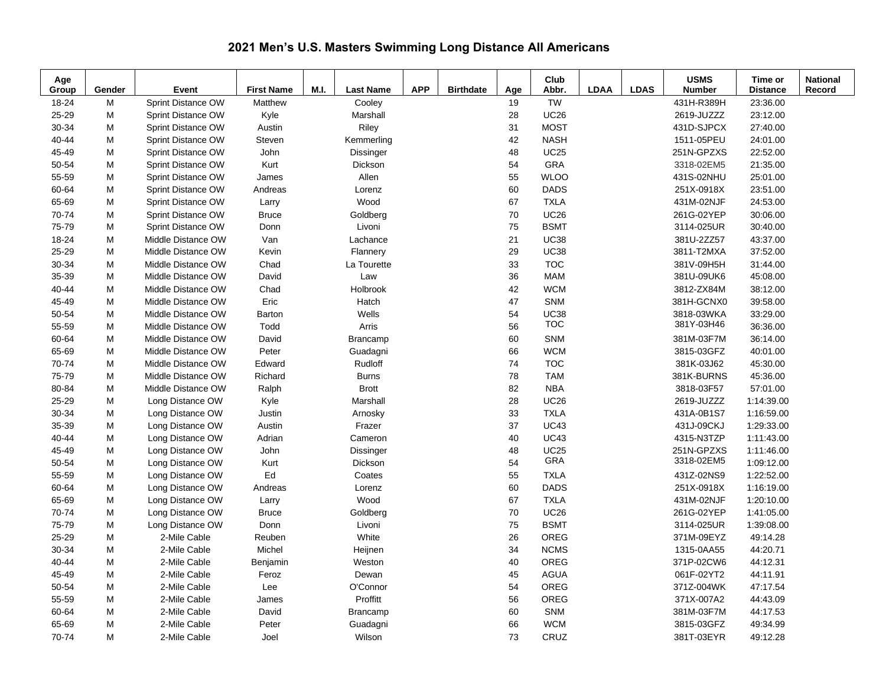## **2021 Men's U.S. Masters Swimming Long Distance All Americans**

| Age<br>Group | Gender | Event              | <b>First Name</b> | M.I. | <b>Last Name</b> | <b>APP</b> | <b>Birthdate</b> | Age    | Club<br>Abbr. | <b>LDAA</b> | <b>LDAS</b> | <b>USMS</b><br><b>Number</b> | Time or<br><b>Distance</b> | <b>National</b><br>Record |
|--------------|--------|--------------------|-------------------|------|------------------|------------|------------------|--------|---------------|-------------|-------------|------------------------------|----------------------------|---------------------------|
| 18-24        | M      | Sprint Distance OW | Matthew           |      | Cooley           |            |                  | 19     | <b>TW</b>     |             |             | 431H-R389H                   | 23:36.00                   |                           |
| 25-29        | M      | Sprint Distance OW | Kyle              |      | Marshall         |            |                  | 28     | <b>UC26</b>   |             |             | 2619-JUZZZ                   | 23:12.00                   |                           |
| 30-34        | M      | Sprint Distance OW | Austin            |      | Riley            |            |                  | 31     | <b>MOST</b>   |             |             | 431D-SJPCX                   | 27:40.00                   |                           |
| 40-44        | M      | Sprint Distance OW | Steven            |      | Kemmerling       |            |                  | 42     | <b>NASH</b>   |             |             | 1511-05PEU                   | 24:01.00                   |                           |
| 45-49        | M      | Sprint Distance OW | John              |      | Dissinger        |            |                  | 48     | <b>UC25</b>   |             |             | 251N-GPZXS                   | 22:52.00                   |                           |
| 50-54        | M      | Sprint Distance OW | Kurt              |      | Dickson          |            |                  | 54     | GRA           |             |             | 3318-02EM5                   | 21:35.00                   |                           |
| 55-59        | M      | Sprint Distance OW | James             |      | Allen            |            |                  | 55     | <b>WLOO</b>   |             |             | 431S-02NHU                   | 25:01.00                   |                           |
| 60-64        | M      | Sprint Distance OW | Andreas           |      | Lorenz           |            |                  | 60     | <b>DADS</b>   |             |             | 251X-0918X                   | 23:51.00                   |                           |
| 65-69        | M      | Sprint Distance OW | Larry             |      | Wood             |            |                  | 67     | <b>TXLA</b>   |             |             | 431M-02NJF                   | 24:53.00                   |                           |
| 70-74        | M      | Sprint Distance OW | <b>Bruce</b>      |      | Goldberg         |            |                  | $70\,$ | <b>UC26</b>   |             |             | 261G-02YEP                   | 30:06.00                   |                           |
| 75-79        | M      | Sprint Distance OW | Donn              |      | Livoni           |            |                  | 75     | <b>BSMT</b>   |             |             | 3114-025UR                   | 30:40.00                   |                           |
| 18-24        | M      | Middle Distance OW | Van               |      | Lachance         |            |                  | 21     | <b>UC38</b>   |             |             | 381U-2ZZ57                   | 43:37.00                   |                           |
| 25-29        | M      | Middle Distance OW | Kevin             |      | Flannery         |            |                  | 29     | <b>UC38</b>   |             |             | 3811-T2MXA                   | 37:52.00                   |                           |
| 30-34        | M      | Middle Distance OW | Chad              |      | La Tourette      |            |                  | 33     | <b>TOC</b>    |             |             | 381V-09H5H                   | 31:44.00                   |                           |
| 35-39        | M      | Middle Distance OW | David             |      | Law              |            |                  | 36     | <b>MAM</b>    |             |             | 381U-09UK6                   | 45:08.00                   |                           |
| 40-44        | M      | Middle Distance OW | Chad              |      | Holbrook         |            |                  | 42     | <b>WCM</b>    |             |             | 3812-ZX84M                   | 38:12.00                   |                           |
| 45-49        | M      | Middle Distance OW | Eric              |      | Hatch            |            |                  | 47     | <b>SNM</b>    |             |             | 381H-GCNX0                   | 39:58.00                   |                           |
| 50-54        | M      | Middle Distance OW | Barton            |      | Wells            |            |                  | 54     | <b>UC38</b>   |             |             | 3818-03WKA                   | 33:29.00                   |                           |
| 55-59        | M      | Middle Distance OW | Todd              |      | Arris            |            |                  | 56     | <b>TOC</b>    |             |             | 381Y-03H46                   | 36:36.00                   |                           |
| 60-64        | M      | Middle Distance OW | David             |      | Brancamp         |            |                  | 60     | SNM           |             |             | 381M-03F7M                   | 36:14.00                   |                           |
| 65-69        | M      | Middle Distance OW | Peter             |      | Guadagni         |            |                  | 66     | <b>WCM</b>    |             |             | 3815-03GFZ                   | 40:01.00                   |                           |
| 70-74        | M      | Middle Distance OW | Edward            |      | Rudloff          |            |                  | 74     | <b>TOC</b>    |             |             | 381K-03J62                   | 45:30.00                   |                           |
| 75-79        | M      | Middle Distance OW | Richard           |      | <b>Burns</b>     |            |                  | 78     | <b>TAM</b>    |             |             | 381K-BURNS                   | 45:36.00                   |                           |
| 80-84        | M      | Middle Distance OW | Ralph             |      | <b>Brott</b>     |            |                  | 82     | <b>NBA</b>    |             |             | 3818-03F57                   | 57:01.00                   |                           |
| 25-29        | M      | Long Distance OW   | Kyle              |      | Marshall         |            |                  | 28     | <b>UC26</b>   |             |             | 2619-JUZZZ                   | 1:14:39.00                 |                           |
| 30-34        | M      | Long Distance OW   | Justin            |      | Arnosky          |            |                  | 33     | <b>TXLA</b>   |             |             | 431A-0B1S7                   | 1:16:59.00                 |                           |
| 35-39        | M      | Long Distance OW   | Austin            |      | Frazer           |            |                  | 37     | <b>UC43</b>   |             |             | 431J-09CKJ                   | 1:29:33.00                 |                           |
| 40-44        | M      | Long Distance OW   | Adrian            |      | Cameron          |            |                  | 40     | <b>UC43</b>   |             |             | 4315-N3TZP                   | 1:11:43.00                 |                           |
| 45-49        | M      | Long Distance OW   | John              |      | Dissinger        |            |                  | 48     | <b>UC25</b>   |             |             | 251N-GPZXS                   | 1:11:46.00                 |                           |
| 50-54        | M      | Long Distance OW   | Kurt              |      | Dickson          |            |                  | 54     | GRA           |             |             | 3318-02EM5                   | 1:09:12.00                 |                           |
| 55-59        | M      | Long Distance OW   | Ed                |      | Coates           |            |                  | 55     | <b>TXLA</b>   |             |             | 431Z-02NS9                   | 1:22:52.00                 |                           |
| 60-64        | M      | Long Distance OW   | Andreas           |      | Lorenz           |            |                  | 60     | <b>DADS</b>   |             |             | 251X-0918X                   | 1:16:19.00                 |                           |
| 65-69        | M      | Long Distance OW   | Larry             |      | Wood             |            |                  | 67     | <b>TXLA</b>   |             |             | 431M-02NJF                   | 1:20:10.00                 |                           |
| 70-74        | M      | Long Distance OW   | <b>Bruce</b>      |      | Goldberg         |            |                  | 70     | <b>UC26</b>   |             |             | 261G-02YEP                   | 1:41:05.00                 |                           |
| 75-79        | M      | Long Distance OW   | Donn              |      | Livoni           |            |                  | 75     | <b>BSMT</b>   |             |             | 3114-025UR                   | 1:39:08.00                 |                           |
| 25-29        | M      | 2-Mile Cable       | Reuben            |      | White            |            |                  | 26     | OREG          |             |             | 371M-09EYZ                   | 49:14.28                   |                           |
| 30-34        | M      | 2-Mile Cable       | Michel            |      | Heijnen          |            |                  | 34     | <b>NCMS</b>   |             |             | 1315-0AA55                   | 44:20.71                   |                           |
| 40-44        | M      | 2-Mile Cable       | Benjamin          |      | Weston           |            |                  | 40     | OREG          |             |             | 371P-02CW6                   | 44:12.31                   |                           |
| 45-49        | M      | 2-Mile Cable       | Feroz             |      | Dewan            |            |                  | 45     | <b>AGUA</b>   |             |             | 061F-02YT2                   | 44:11.91                   |                           |
| 50-54        | M      | 2-Mile Cable       | Lee               |      | O'Connor         |            |                  | 54     | OREG          |             |             | 371Z-004WK                   | 47:17.54                   |                           |
| 55-59        | M      | 2-Mile Cable       | James             |      | Proffitt         |            |                  | 56     | OREG          |             |             | 371X-007A2                   | 44:43.09                   |                           |
| 60-64        | M      | 2-Mile Cable       | David             |      | Brancamp         |            |                  | 60     | <b>SNM</b>    |             |             | 381M-03F7M                   | 44:17.53                   |                           |
| 65-69        | M      | 2-Mile Cable       | Peter             |      | Guadagni         |            |                  | 66     | <b>WCM</b>    |             |             | 3815-03GFZ                   | 49:34.99                   |                           |
| 70-74        | M      | 2-Mile Cable       | Joel              |      | Wilson           |            |                  | 73     | CRUZ          |             |             | 381T-03EYR                   | 49:12.28                   |                           |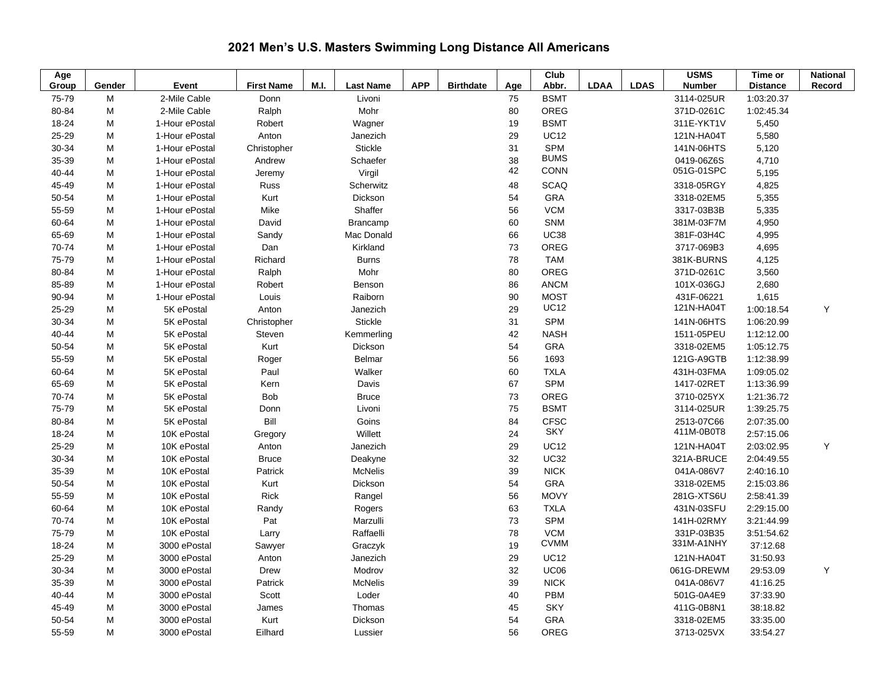| Age   |        |                |                   |      |                  |            |                  |     | Club        |             |             | <b>USMS</b>   | $Time$ or       | <b>National</b> |
|-------|--------|----------------|-------------------|------|------------------|------------|------------------|-----|-------------|-------------|-------------|---------------|-----------------|-----------------|
| Group | Gender | Event          | <b>First Name</b> | M.I. | <b>Last Name</b> | <b>APP</b> | <b>Birthdate</b> | Age | Abbr.       | <b>LDAA</b> | <b>LDAS</b> | <b>Number</b> | <b>Distance</b> | Record          |
| 75-79 | M      | 2-Mile Cable   | Donn              |      | Livoni           |            |                  | 75  | <b>BSMT</b> |             |             | 3114-025UR    | 1:03:20.37      |                 |
| 80-84 | M      | 2-Mile Cable   | Ralph             |      | Mohr             |            |                  | 80  | OREG        |             |             | 371D-0261C    | 1:02:45.34      |                 |
| 18-24 | M      | 1-Hour ePostal | Robert            |      | Wagner           |            |                  | 19  | <b>BSMT</b> |             |             | 311E-YKT1V    | 5,450           |                 |
| 25-29 | M      | 1-Hour ePostal | Anton             |      | Janezich         |            |                  | 29  | <b>UC12</b> |             |             | 121N-HA04T    | 5,580           |                 |
| 30-34 | M      | 1-Hour ePostal | Christopher       |      | <b>Stickle</b>   |            |                  | 31  | <b>SPM</b>  |             |             | 141N-06HTS    | 5,120           |                 |
| 35-39 | M      | 1-Hour ePostal | Andrew            |      | Schaefer         |            |                  | 38  | <b>BUMS</b> |             |             | 0419-06Z6S    | 4,710           |                 |
| 40-44 | M      | 1-Hour ePostal | Jeremy            |      | Virgil           |            |                  | 42  | <b>CONN</b> |             |             | 051G-01SPC    | 5,195           |                 |
| 45-49 | M      | 1-Hour ePostal | Russ              |      | Scherwitz        |            |                  | 48  | <b>SCAQ</b> |             |             | 3318-05RGY    | 4,825           |                 |
| 50-54 | M      | 1-Hour ePostal | Kurt              |      | Dickson          |            |                  | 54  | <b>GRA</b>  |             |             | 3318-02EM5    | 5,355           |                 |
| 55-59 | M      | 1-Hour ePostal | Mike              |      | Shaffer          |            |                  | 56  | <b>VCM</b>  |             |             | 3317-03B3B    | 5,335           |                 |
| 60-64 | M      | 1-Hour ePostal | David             |      | Brancamp         |            |                  | 60  | <b>SNM</b>  |             |             | 381M-03F7M    | 4,950           |                 |
| 65-69 | M      | 1-Hour ePostal | Sandy             |      | Mac Donald       |            |                  | 66  | <b>UC38</b> |             |             | 381F-03H4C    | 4,995           |                 |
| 70-74 | M      | 1-Hour ePostal | Dan               |      | Kirkland         |            |                  | 73  | OREG        |             |             | 3717-069B3    | 4,695           |                 |
| 75-79 | M      | 1-Hour ePostal | Richard           |      | <b>Burns</b>     |            |                  | 78  | <b>TAM</b>  |             |             | 381K-BURNS    | 4,125           |                 |
| 80-84 | M      | 1-Hour ePostal | Ralph             |      | Mohr             |            |                  | 80  | OREG        |             |             | 371D-0261C    | 3,560           |                 |
| 85-89 | M      | 1-Hour ePostal | Robert            |      | Benson           |            |                  | 86  | <b>ANCM</b> |             |             | 101X-036GJ    | 2,680           |                 |
| 90-94 | M      | 1-Hour ePostal | Louis             |      | Raiborn          |            |                  | 90  | <b>MOST</b> |             |             | 431F-06221    | 1,615           |                 |
| 25-29 | M      | 5K ePostal     | Anton             |      | Janezich         |            |                  | 29  | <b>UC12</b> |             |             | 121N-HA04T    | 1:00:18.54      | Υ               |
| 30-34 | M      | 5K ePostal     | Christopher       |      | <b>Stickle</b>   |            |                  | 31  | <b>SPM</b>  |             |             | 141N-06HTS    | 1:06:20.99      |                 |
| 40-44 | M      | 5K ePostal     | Steven            |      | Kemmerling       |            |                  | 42  | <b>NASH</b> |             |             | 1511-05PEU    | 1:12:12.00      |                 |
| 50-54 | M      | 5K ePostal     | Kurt              |      | Dickson          |            |                  | 54  | GRA         |             |             | 3318-02EM5    | 1:05:12.75      |                 |
| 55-59 | M      | 5K ePostal     | Roger             |      | <b>Belmar</b>    |            |                  | 56  | 1693        |             |             | 121G-A9GTB    | 1:12:38.99      |                 |
| 60-64 | M      | 5K ePostal     | Paul              |      | Walker           |            |                  | 60  | <b>TXLA</b> |             |             | 431H-03FMA    | 1:09:05.02      |                 |
| 65-69 | M      | 5K ePostal     | Kern              |      | Davis            |            |                  | 67  | <b>SPM</b>  |             |             | 1417-02RET    | 1:13:36.99      |                 |
| 70-74 | M      | 5K ePostal     | <b>Bob</b>        |      | <b>Bruce</b>     |            |                  | 73  | OREG        |             |             | 3710-025YX    | 1:21:36.72      |                 |
| 75-79 | M      | 5K ePostal     | Donn              |      | Livoni           |            |                  | 75  | <b>BSMT</b> |             |             | 3114-025UR    | 1:39:25.75      |                 |
| 80-84 | M      | 5K ePostal     | Bill              |      | Goins            |            |                  | 84  | <b>CFSC</b> |             |             | 2513-07C66    | 2:07:35.00      |                 |
| 18-24 | M      | 10K ePostal    | Gregory           |      | Willett          |            |                  | 24  | <b>SKY</b>  |             |             | 411M-0B0T8    | 2:57:15.06      |                 |
| 25-29 | M      | 10K ePostal    | Anton             |      | Janezich         |            |                  | 29  | <b>UC12</b> |             |             | 121N-HA04T    | 2:03:02.95      | Υ               |
| 30-34 | M      | 10K ePostal    | <b>Bruce</b>      |      | Deakyne          |            |                  | 32  | <b>UC32</b> |             |             | 321A-BRUCE    | 2:04:49.55      |                 |
| 35-39 | M      | 10K ePostal    | Patrick           |      | <b>McNelis</b>   |            |                  | 39  | <b>NICK</b> |             |             | 041A-086V7    | 2:40:16.10      |                 |
| 50-54 | M      | 10K ePostal    | Kurt              |      | Dickson          |            |                  | 54  | <b>GRA</b>  |             |             | 3318-02EM5    | 2:15:03.86      |                 |
| 55-59 | M      | 10K ePostal    | Rick              |      | Rangel           |            |                  | 56  | <b>MOVY</b> |             |             | 281G-XTS6U    | 2:58:41.39      |                 |
| 60-64 | M      | 10K ePostal    | Randy             |      | Rogers           |            |                  | 63  | <b>TXLA</b> |             |             | 431N-03SFU    | 2:29:15.00      |                 |
| 70-74 | M      | 10K ePostal    | Pat               |      | Marzulli         |            |                  | 73  | SPM         |             |             | 141H-02RMY    | 3:21:44.99      |                 |
| 75-79 | M      | 10K ePostal    | Larry             |      | Raffaelli        |            |                  | 78  | <b>VCM</b>  |             |             | 331P-03B35    | 3:51:54.62      |                 |
| 18-24 | M      | 3000 ePostal   | Sawyer            |      | Graczyk          |            |                  | 19  | <b>CVMM</b> |             |             | 331M-A1NHY    | 37:12.68        |                 |
| 25-29 | M      | 3000 ePostal   | Anton             |      | Janezich         |            |                  | 29  | <b>UC12</b> |             |             | 121N-HA04T    | 31:50.93        |                 |
| 30-34 | M      | 3000 ePostal   | Drew              |      | Modrov           |            |                  | 32  | <b>UC06</b> |             |             | 061G-DREWM    | 29:53.09        | Υ               |
| 35-39 | M      | 3000 ePostal   | Patrick           |      | <b>McNelis</b>   |            |                  | 39  | <b>NICK</b> |             |             | 041A-086V7    | 41:16.25        |                 |
| 40-44 | M      | 3000 ePostal   | Scott             |      | Loder            |            |                  | 40  | <b>PBM</b>  |             |             | 501G-0A4E9    | 37:33.90        |                 |
| 45-49 | M      | 3000 ePostal   | James             |      | Thomas           |            |                  | 45  | <b>SKY</b>  |             |             | 411G-0B8N1    | 38:18.82        |                 |
| 50-54 | M      | 3000 ePostal   | Kurt              |      | Dickson          |            |                  | 54  | GRA         |             |             | 3318-02EM5    | 33:35.00        |                 |
| 55-59 | M      | 3000 ePostal   | Eilhard           |      | Lussier          |            |                  | 56  | OREG        |             |             | 3713-025VX    | 33:54.27        |                 |

## **2021 Men's U.S. Masters Swimming Long Distance All Americans**